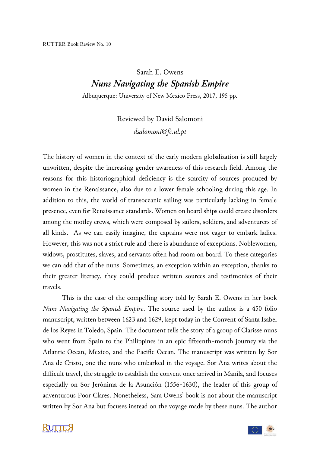## Sarah E. Owens *Nuns Navigating the Spanish Empire*

Albuquerque: University of New Mexico Press, 2017, 195 pp.

Reviewed by David Salomoni *dsalomoni@fc.ul.pt*

The history of women in the context of the early modern globalization is still largely unwritten, despite the increasing gender awareness of this research field. Among the reasons for this historiographical deficiency is the scarcity of sources produced by women in the Renaissance, also due to a lower female schooling during this age. In addition to this, the world of transoceanic sailing was particularly lacking in female presence, even for Renaissance standards. Women on board ships could create disorders among the motley crews, which were composed by sailors, soldiers, and adventurers of all kinds. As we can easily imagine, the captains were not eager to embark ladies. However, this was not a strict rule and there is abundance of exceptions. Noblewomen, widows, prostitutes, slaves, and servants often had room on board. To these categories we can add that of the nuns. Sometimes, an exception within an exception, thanks to their greater literacy, they could produce written sources and testimonies of their travels.

This is the case of the compelling story told by Sarah E. Owens in her book *Nuns Navigating the Spanish Empire*. The source used by the author is a 450 folio manuscript, written between 1623 and 1629, kept today in the Convent of Santa Isabel de los Reyes in Toledo, Spain. The document tells the story of a group of Clarisse nuns who went from Spain to the Philippines in an epic fifteenth-month journey via the Atlantic Ocean, Mexico, and the Pacific Ocean. The manuscript was written by Sor Ana de Cristo, one the nuns who embarked in the voyage. Sor Ana writes about the difficult travel, the struggle to establish the convent once arrived in Manila, and focuses especially on Sor Jerónima de la Asunción (1556-1630), the leader of this group of adventurous Poor Clares. Nonetheless, Sara Owens' book is not about the manuscript written by Sor Ana but focuses instead on the voyage made by these nuns. The author

**RUTTE A** 

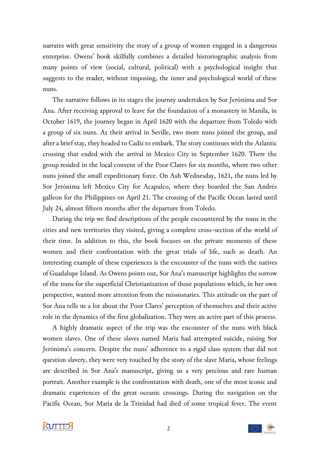narrates with great sensitivity the story of a group of women engaged in a dangerous enterprise. Owens' book skilfully combines a detailed historiographic analysis from many points of view (social, cultural, political) with a psychological insight that suggests to the reader, without imposing, the inner and psychological world of these nuns.

The narrative follows in its stages the journey undertaken by Sor Jerónima and Sor Ana. After receiving approval to leave for the foundation of a monastery in Manila, in October 1619, the journey began in April 1620 with the departure from Toledo with a group of six nuns. At their arrival in Seville, two more nuns joined the group, and after a brief stay, they headed to Cadiz to embark. The story continues with the Atlantic crossing that ended with the arrival in Mexico City in September 1620. There the group resided in the local convent of the Poor Clares for six months, where two other nuns joined the small expeditionary force. On Ash Wednesday, 1621, the nuns led by Sor Jerónima left Mexico City for Acapulco, where they boarded the San Andrés galleon for the Philippines on April 21. The crossing of the Pacific Ocean lasted until July 24, almost fifteen months after the departure from Toledo.

During the trip we find descriptions of the people encountered by the nuns in the cities and new territories they visited, giving a complete cross-section of the world of their time. In addition to this, the book focuses on the private moments of these women and their confrontation with the great trials of life, such as death. An interesting example of these experiences is the encounter of the nuns with the natives of Guadalupe Island. As Owens points out, Sor Ana's manuscript highlights the sorrow of the nuns for the superficial Christianization of those populations which, in her own perspective, wanted more attention from the missionaries. This attitude on the part of Sor Ana tells us a lot about the Poor Clares' perception of themselves and their active role in the dynamics of the first globalization. They were an active part of this process.

A highly dramatic aspect of the trip was the encounter of the nuns with black women slaves. One of these slaves named María had attempted suicide, raising Sor Jerónima's concern. Despite the nuns' adherence to a rigid class system that did not question slavery, they were very touched by the story of the slave María, whose feelings are described in Sor Ana's manuscript, giving us a very precious and rare human portrait. Another example is the confrontation with death, one of the most iconic and dramatic experiences of the great oceanic crossings. During the navigation on the Pacific Ocean, Sor María de la Trinidad had died of some tropical fever. The event



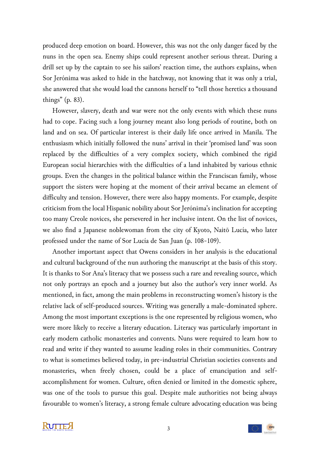produced deep emotion on board. However, this was not the only danger faced by the nuns in the open sea. Enemy ships could represent another serious threat. During a drill set up by the captain to see his sailors' reaction time, the authors explains, when Sor Jerónima was asked to hide in the hatchway, not knowing that it was only a trial, she answered that she would load the cannons herself to "tell those heretics a thousand things" (p. 83).

However, slavery, death and war were not the only events with which these nuns had to cope. Facing such a long journey meant also long periods of routine, both on land and on sea. Of particular interest is their daily life once arrived in Manila. The enthusiasm which initially followed the nuns' arrival in their 'promised land' was soon replaced by the difficulties of a very complex society, which combined the rigid European social hierarchies with the difficulties of a land inhabited by various ethnic groups. Even the changes in the political balance within the Franciscan family, whose support the sisters were hoping at the moment of their arrival became an element of difficulty and tension. However, there were also happy moments. For example, despite criticism from the local Hispanic nobility about Sor Jerónima's inclination for accepting too many Creole novices, she persevered in her inclusive intent. On the list of novices, we also find a Japanese noblewoman from the city of Kyoto, Naitō Lucía, who later professed under the name of Sor Lucía de San Juan (p. 108-109).

Another important aspect that Owens considers in her analysis is the educational and cultural background of the nun authoring the manuscript at the basis of this story. It is thanks to Sor Ana's literacy that we possess such a rare and revealing source, which not only portrays an epoch and a journey but also the author's very inner world. As mentioned, in fact, among the main problems in reconstructing women's history is the relative lack of self-produced sources. Writing was generally a male-dominated sphere. Among the most important exceptions is the one represented by religious women, who were more likely to receive a literary education. Literacy was particularly important in early modern catholic monasteries and convents. Nuns were required to learn how to read and write if they wanted to assume leading roles in their communities. Contrary to what is sometimes believed today, in pre-industrial Christian societies convents and monasteries, when freely chosen, could be a place of emancipation and selfaccomplishment for women. Culture, often denied or limited in the domestic sphere, was one of the tools to pursue this goal. Despite male authorities not being always favourable to women's literacy, a strong female culture advocating education was being